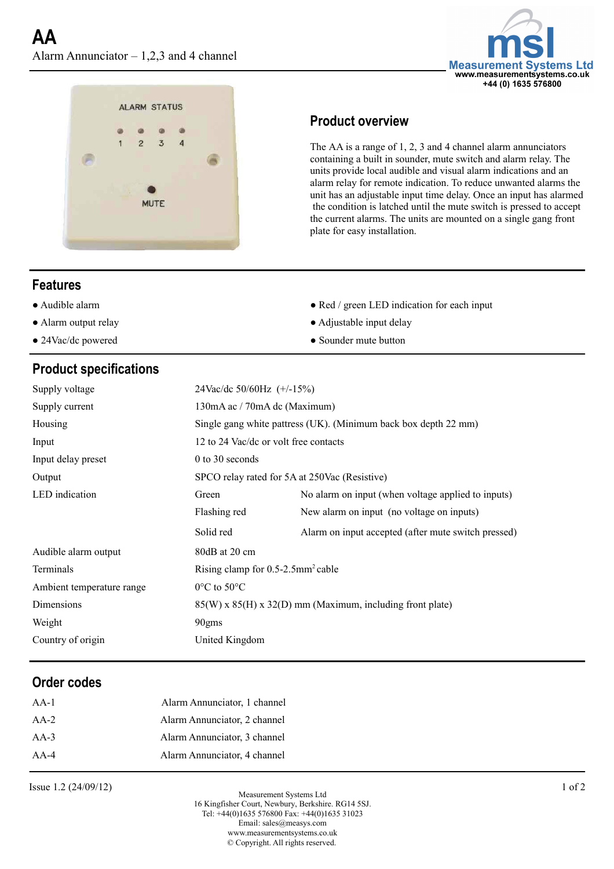



### **Product overview**

The AA is a range of 1, 2, 3 and 4 channel alarm annunciators containing a built in sounder, mute switch and alarm relay. The units provide local audible and visual alarm indications and an alarm relay for remote indication. To reduce unwanted alarms the unit has an adjustable input time delay. Once an input has alarmed the condition is latched until the mute switch is pressed to accept the current alarms. The units are mounted on a single gang front plate for easy installation.

### **Features**

- 
- 
- 

# **Product specifications**

- Audible alarm Red / green LED indication for each input
- Alarm output relay <br>• Adjustable input delay
- 24Vac/dc powered Sounder mute button

| Supply voltage            | 24Vac/dc 50/60Hz (+/-15%)                                       |                                                     |
|---------------------------|-----------------------------------------------------------------|-----------------------------------------------------|
| Supply current            | 130mA ac / 70mA dc (Maximum)                                    |                                                     |
| Housing                   | Single gang white pattress (UK). (Minimum back box depth 22 mm) |                                                     |
| Input                     | 12 to 24 Vac/dc or volt free contacts                           |                                                     |
| Input delay preset        | $0$ to 30 seconds                                               |                                                     |
| Output                    | SPCO relay rated for 5A at 250Vac (Resistive)                   |                                                     |
| LED indication            | Green                                                           | No alarm on input (when voltage applied to inputs)  |
|                           | Flashing red                                                    | New alarm on input (no voltage on inputs)           |
|                           | Solid red                                                       | Alarm on input accepted (after mute switch pressed) |
| Audible alarm output      | 80dB at 20 cm                                                   |                                                     |
| Terminals                 | Rising clamp for $0.5$ -2.5mm <sup>2</sup> cable                |                                                     |
| Ambient temperature range | $0^{\circ}$ C to 50 $^{\circ}$ C                                |                                                     |
| Dimensions                | 85(W) x 85(H) x 32(D) mm (Maximum, including front plate)       |                                                     |
| Weight                    | 90gms                                                           |                                                     |
| Country of origin         | United Kingdom                                                  |                                                     |

### **Order codes**

| $AA-1$ | Alarm Annunciator, 1 channel |
|--------|------------------------------|
| $AA-2$ | Alarm Annunciator, 2 channel |
| $AA-3$ | Alarm Annunciator, 3 channel |
| $AA-4$ | Alarm Annunciator, 4 channel |

Issue 1.2 (24/09/12) 1 of 2

© Copyright. All rights reserved. Measurement Systems Ltd 16 Kingfisher Court, Newbury, Berkshire. RG14 5SJ. Tel: +44(0)1635 576800 [Fax: +44\(0\)1](mailto:sales@annicom.com?subject=axio%20datasheet%20link)635 31023 Email: sales@[measys](http://www.annicom.com/).com www.measurementsystems.co.uk